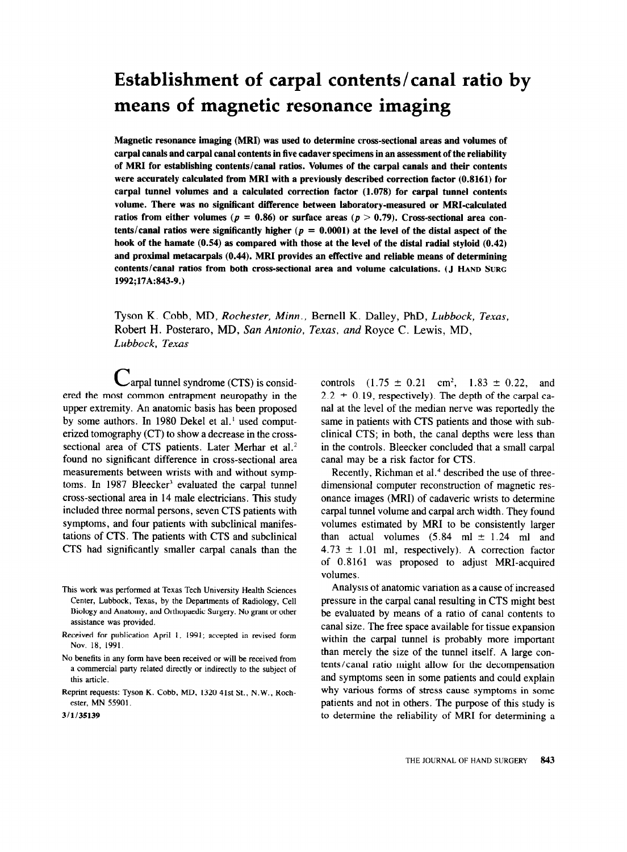# **Establishment of carpal contents/canal ratio by means of magnetic resonance imaging**

**Magnetic resonance imaging (MRI) was used to determine cross-sectional areas and volumes of carpal canals and carpal canal contents in five cadaver specimens in an assessment of the reliability of MRI for establishing contents/canal ratios. Volumes of the carpal canals and their contents were accurately calculated from MRI with a previously described correction factor (0.8161) for carpal tunnel volumes and a calculated correction factor (1.078) for carpal tunnel contents volume. There was no significant difference between laboratory-measured or MRI-calculated**  ratios from either volumes ( $p = 0.86$ ) or surface areas ( $p > 0.79$ ). Cross-sectional area contents/canal ratios were significantly higher ( $p = 0.0001$ ) at the level of the distal aspect of the **hook of the hamate (0.54) as compared with those at the level of the distal radial styloid (0.42) and proximal metacarpals (0.44). MRI provides an effective and reliable means of determining contents/canal ratios from both cross-sectional area and volume calculations. (J HAND** SURG 1992;17A:843-9.)

Tyson K. Cobb, MD, *Rochester, Minn.,* Bemell K. Dalley, PhD, *Lubbock, Texas,*  Robert H. Posteraro, MD, *Sun Antonio, Texas, and* Royce C. Lewis, MD, *Lubbock, Texas* 

 $C$ arpal tunnel syndrome (CTS) is considered the most common entrapment neuropathy in the upper extremity. An anatomic basis has been proposed by some authors. In 1980 Dekel et al.' used computerized tomography (CT) to show a decrease in the crosssectional area of CTS patients. Later Merhar et al.<sup>2</sup> found no significant difference in cross-sectional area measurements between wrists with and without symptoms. In 1987 Bleecker<sup>3</sup> evaluated the carpal tunnel cross-sectional area in 14 male electricians. This study included three normal persons, seven CTS patients with symptoms, and four patients with subclinical manifestations of CTS. The patients with CTS and subclinical CTS had significantly smaller carpal canals than the

controls  $(1.75 \pm 0.21 \text{ cm}^2, 1.83 \pm 0.22, \text{ and}$  $2.2 \pm 0.19$ , respectively). The depth of the carpal canal at the level of the median nerve was reportedly the same in patients with CTS patients and those with subclinical CTS; in both, the canal depths were less than in the controls. Bleecker concluded that a small carpal canal may be a risk factor for CTS.

Recently, Richman et al.<sup>4</sup> described the use of threedimensional computer reconstruction of magnetic resonance images (MRI) of cadaveric wrists to determine carpal tunnel volume and carpal arch width. They found volumes estimated by MRI to be consistently larger than actual volumes  $(5.84 \text{ ml} \pm 1.24 \text{ ml}$  and  $4.73 \pm 1.01$  ml, respectively). A correction factor of 0.8161 was proposed to adjust MRI-acquired volumes.

Analysis of anatomic variation as a cause of increased pressure in the carpal canal resulting in CTS might best be evaluated by means of a ratio of canal contents to canal size. The free space available for tissue expansion within the carpal tunnel is probably more important than merely the size of the tunnel itself. A large contents/canal ratio might allow for the decompensation and symptoms seen in some patients and could explain why various forms of stress cause symptoms in some patients and not in others. The purpose of this study is to determine the reliability of MRI for determining a

This work was performed at Texas Tech University Health Sciences Center, Lubbock, Texas, by the Departments of Radiology, Cell Biology and Anatomy, and Orthopaedic Surgery. No grant or other assistance was provided.

Received for publication April 1, 1991; accepted in revised form Nov. 18, 1991.

No benefits in any form have been received or will be received from a commercial party related directly or indirectly to the subject of this article.

Reprint requests: Tyson K. Cobb, MD, 1320 41st St., N.W., Rochester, MN 55901.

<sup>3/</sup>l/35139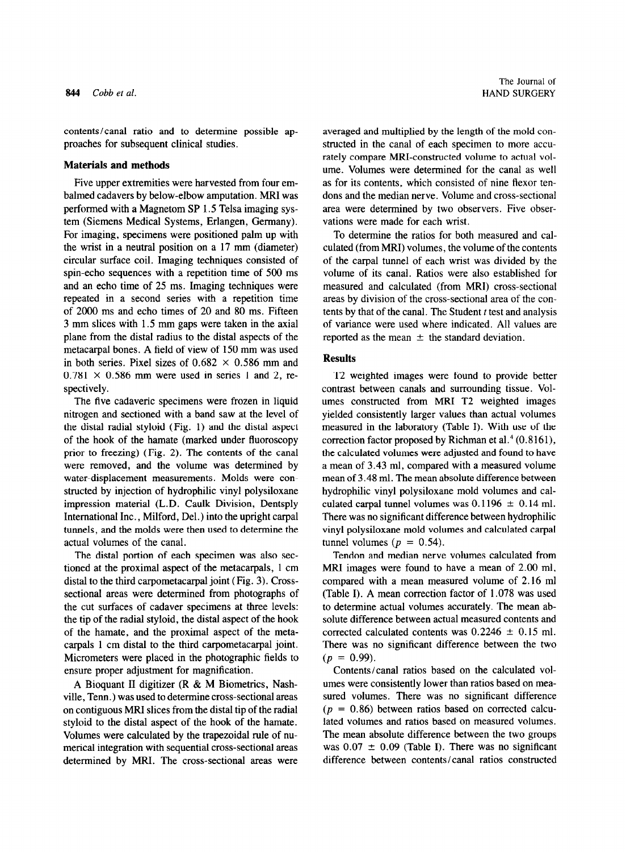contents/canal ratio and to determine possible approaches for subsequent clinical studies.

# **Materials and methods**

Five upper extremities were harvested from four embalmed cadavers by below-elbow amputation. MRI was performed with a Magnetom SP 1.5 Telsa imaging system (Siemens Medical Systems, Erlangen, Germany). For imaging, specimens were positioned palm up with the wrist in a neutral position on a 17 mm (diameter) circular surface coil. Imaging techniques consisted of spin-echo sequences with a repetition time of 500 ms and an echo time of 25 ms. Imaging techniques were repeated in a second series with a repetition time of 2000 ms and echo times of 20 and 80 ms. Fifteen 3 mm slices with 1.5 mm gaps were taken in the axial plane from the distal radius to the distal aspects of the metacarpal bones. A field of view of 150 mm was used in both series. Pixel sizes of  $0.682 \times 0.586$  mm and  $0.781 \times 0.586$  mm were used in series 1 and 2, respectively.

The five cadaveric specimens were frozen in liquid nitrogen and sectioned with a band saw at the level of the distal radial styloid (Fig. 1) and the distal aspect of the hook of the hamate (marked under fluoroscopy prior to freezing) (Fig. 2). The contents of the canal were removed, and the volume was determined by water-displacement measurements. Molds were constructed by injection of hydrophilic vinyl polysiloxane impression material (L.D. Caulk Division, Dentsply International Inc., Milford, Del.) into the upright carpal tunnels, and the molds were then used to determine the actual volumes of the canal.

The distal portion of each specimen was also sectioned at the proximal aspect of the metacarpals, 1 cm distal to the third carpometacarpal joint (Fig. 3). Crosssectional areas were determined from photographs of the cut surfaces of cadaver specimens at three levels: the tip of the radial styloid, the distal aspect of the hook of the hamate, and the proximal aspect of the metacarpals 1 cm distal to the third carpometacarpal joint. Micrometers were placed in the photographic fields to ensure proper adjustment for magnification.

A Bioquant II digitizer (R & M Biometrics, Nashville, Tenn.) was used to determine cross-sectional areas on contiguous MRI slices from the distal tip of the radial styloid to the distal aspect of the hook of the hamate. Volumes were calculated by the trapezoidal rule of numerical integration with sequential cross-sectional areas determined by MRI. The cross-sectional areas were

averaged and multiplied by the length of the mold constructed in the canal of each specimen to more accurately compare MRI-constructed volume to actual volume. Volumes were determined for the canal as well as for its contents, which consisted of nine flexor tendons and the median nerve. Volume and cross-sectional area were determined by two observers. Five observations were made for each wrist.

To determine the ratios for both measured and calculated (from MRI) volumes, the volume of the contents of the carpal tunnel of each wrist was divided by the volume of its canal. Ratios were also established for measured and calculated (from MRI) cross-sectional areas by division of the cross-sectional area of the contents by that of the canal. The Student  $t$  test and analysis of variance were used where indicated. All values are reported as the mean  $\pm$  the standard deviation.

### **Results**

**T2** weighted images were found to provide better contrast between canals and surrounding tissue. Volumes constructed from MRI T2 weighted images yielded consistently larger values than actual volumes measured in the laboratory (Table I). With use of the correction factor proposed by Richman et al. $4(0.8161)$ , the calculated volumes were adjusted and found to have a mean of 3.43 ml, compared with a measured volume mean of 3.48 ml. The mean absolute difference between hydrophilic vinyl polysiloxane mold volumes and calculated carpal tunnel volumes was  $0.1196 \pm 0.14$  ml. There was no significant difference between hydrophilic vinyl polysiloxane mold volumes and calculated carpal tunnel volumes ( $p = 0.54$ ).

Tendon and median nerve volumes calculated from MRI images were found to have a mean of 2.00 ml, compared with a mean measured volume of 2.16 ml (Table I). A mean correction factor of 1.078 was used to determine actual volumes accurately. The mean absolute difference between actual measured contents and corrected calculated contents was  $0.2246 \pm 0.15$  ml. There was no significant difference between the two  $(p = 0.99)$ .

Contents/canal ratios based on the calculated volumes were consistently lower than ratios based on measured volumes. There was no significant difference  $(p = 0.86)$  between ratios based on corrected calculated volumes and ratios based on measured volumes. The mean absolute difference between the two groups was  $0.07 \pm 0.09$  (Table I). There was no significant difference between contents/canal ratios constructed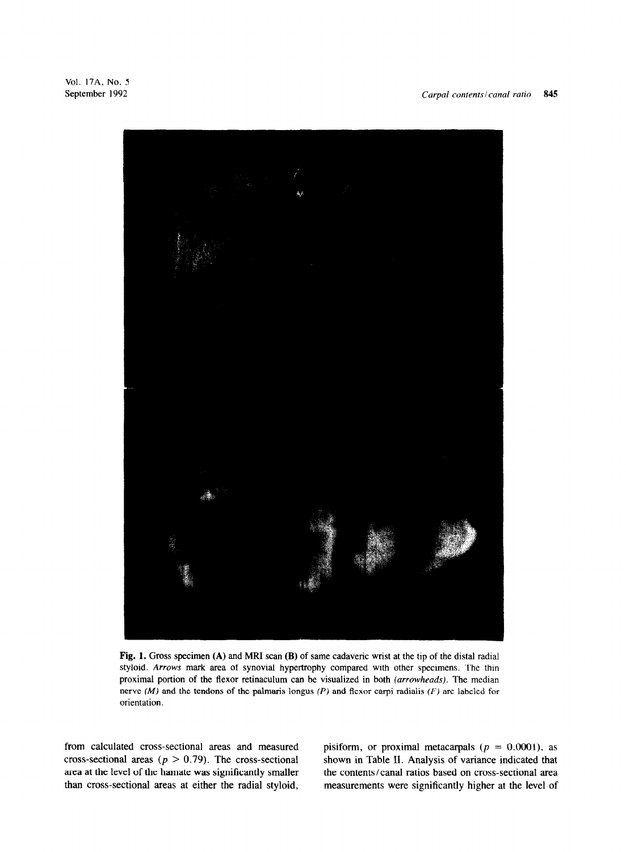

**Fig. 1. Gross** specimen **(A)** and MRI scan **(B)** of same cadaveric wrist at the tip of the distal radial styloid. Arrows mark area of synovial hypertrophy compared with other specimens. The thin proximal portion of the flexor retinaculum can be visualized in both *(arrowheads).* The median nerve  $(M)$  and the tendons of the palmaris longus  $(P)$  and flexor carpi radialis  $(F)$  are labeled for orientation.

from calculated cross-sectional areas and measured cross-sectional areas ( $p > 0.79$ ). The cross-sectional area at the level of the hamate was significantly smaller than cross-sectional areas at either the radial styloid,

pisiform, or proximal metacarpals ( $p = 0.0001$ ), as shown in Table II. Analysis of variance indicated that the contents/canal ratios based on cross-sectional area measurements were significantly higher at the level of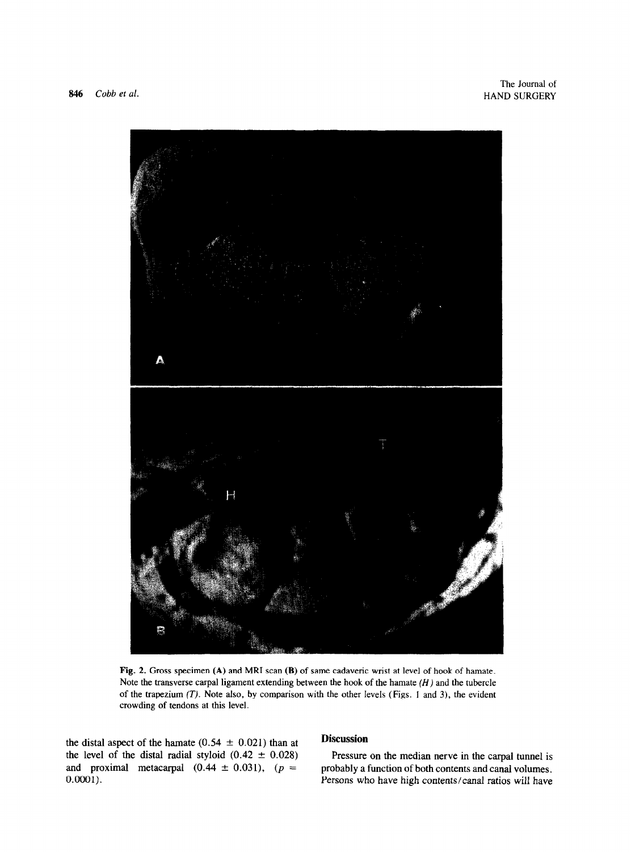

Fig. 2. Gross specimen **(A)** and MRI scan **(B)** of same cadaveric wrist at level of hook of hamate. Note the transverse carpal ligament extending between the hook of the hamate *(H)* and the tubercle of the trapezium  $(T)$ . Note also, by comparison with the other levels (Figs. 1 and 3), the evident crowding of tendons at this level.

the distal aspect of the hamate  $(0.54 \pm 0.021)$  than at the level of the distal radial styloid  $(0.42 \pm 0.028)$ and proximal metacarpal  $(0.44 \pm 0.031)$ ,  $(p =$  $0.0001$ ).

# **Discussion**

Pressure on the median nerve in the carpal tunnel is probably a function of both contents and canal volumes. Persons who have high contents/canal ratios will have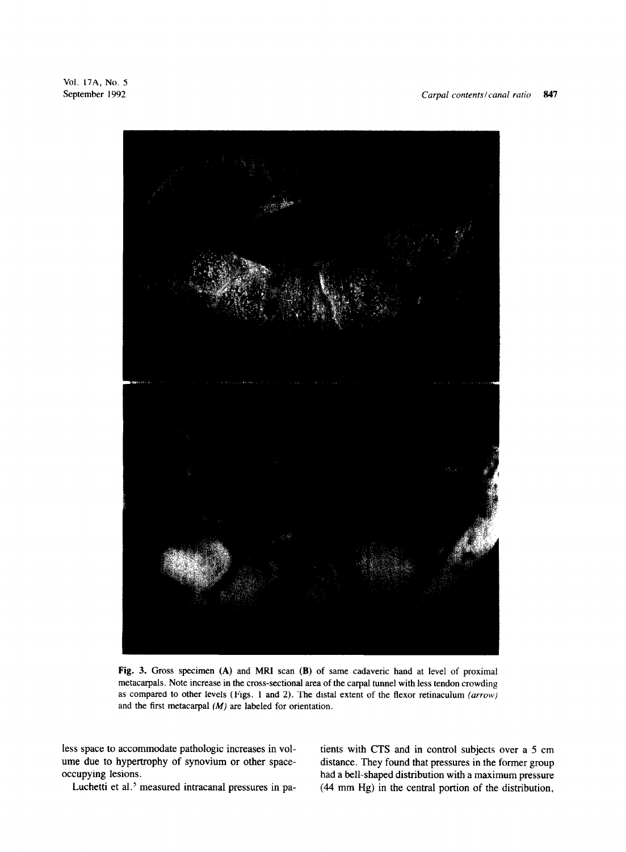

Fig. 3. Gross specimen **(A)** and MRI scan (B) of same cadaveric hand at level of proximal metacarpals. Note increase in the cross-sectional area of the carpal tunnel with less tendon crowding as compared to other levels (Figs. 1 and 2). The distal extent of the flexor retinaculum *(arrow)*  and the first metacarpal (M) are labeled for orientation.

less space to accommodate pathologic increases in volume due to hypertrophy of synovium or other spaceoccupying lesions.

tients with CTS and in control subjects over a 5 cm distance. They found that pressures in the former group had a bell-shaped distribution with a maximum pressure  $(44 \text{ mm Hg})$  in the central portion of the distribution,

Luchetti et al.<sup>5</sup> measured intracanal pressures in pa-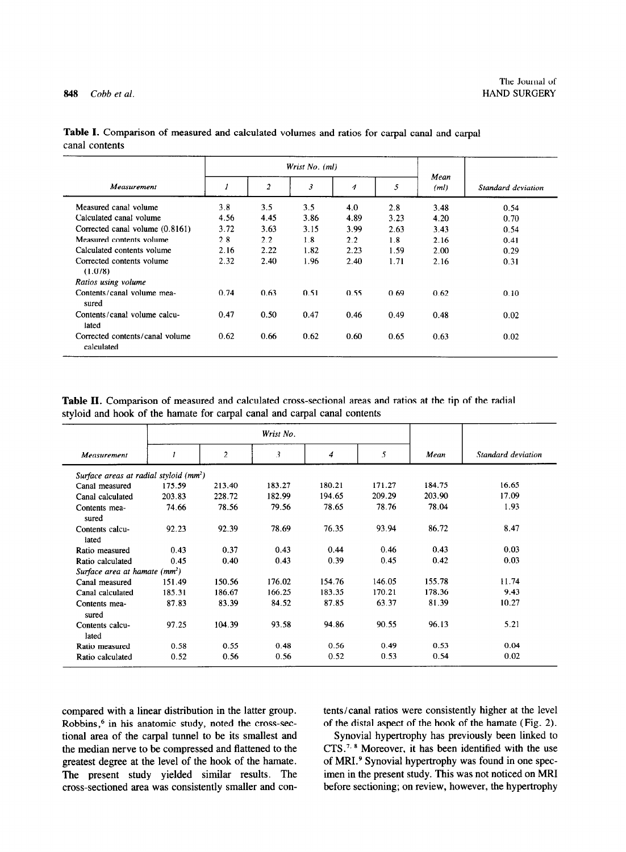848 *Cobb et al.* 

|                                               |      |                | Wrist No. (ml) |      |      |              |                    |
|-----------------------------------------------|------|----------------|----------------|------|------|--------------|--------------------|
| Measurement                                   |      | $\overline{2}$ | $\mathfrak{Z}$ | 4    | 5    | Mean<br>(ml) | Standard deviation |
| Measured canal volume                         | 3.8  | 3.5            | 3.5            | 4.0  | 2.8  | 3.48         | 0.54               |
| Calculated canal volume                       | 4.56 | 4.45           | 3.86           | 4.89 | 3.23 | 4.20         | 0.70               |
| Corrected canal volume (0.8161)               | 3.72 | 3.63           | 3.15           | 3.99 | 2.63 | 3.43         | 0.54               |
| Measured contents volume                      | 2.8  | 2.2            | 1.8            | 2.2  | 1.8  | 2.16         | 0.41               |
| Calculated contents volume                    | 2.16 | 2.22           | 1.82           | 2.23 | 1.59 | 2.00         | 0.29               |
| Corrected contents volume<br>(1.078)          | 2.32 | 2.40           | 1.96           | 2.40 | 1.71 | 2.16         | 0.31               |
| Ratios using volume                           |      |                |                |      |      |              |                    |
| Contents/canal volume mea-<br>sured           | 0.74 | 0.63           | 0.51           | 0.55 | 0.69 | 0.62         | 0.10               |
| Contents/canal volume calcu-<br>lated         | 0.47 | 0.50           | 0.47           | 0.46 | 0.49 | 0.48         | 0.02               |
| Corrected contents/canal volume<br>calculated | 0.62 | 0.66           | 0.62           | 0.60 | 0.65 | 0.63         | 0.02               |

**Table I.** Comparison of measured and calculated volumes and ratios for carpal canal and carpal canal contents

**Table II.** Comparison of measured and calculated cross-sectional areas and ratios at the tip of the radial styloid and hook of the hamate for carpal canal and carpal canal contents

| Measurement                                        |        | 2      | 3      | 4      | 5      | Mean   | Standard deviation |
|----------------------------------------------------|--------|--------|--------|--------|--------|--------|--------------------|
| Surface areas at radial styloid (mm <sup>2</sup> ) |        |        |        |        |        |        |                    |
| Canal measured                                     | 175.59 | 213.40 | 183.27 | 180.21 | 171.27 | 184.75 | 16.65              |
| Canal calculated                                   | 203.83 | 228.72 | 182.99 | 194.65 | 209.29 | 203.90 | 17.09              |
| Contents mea-<br>sured                             | 74.66  | 78.56  | 79.56  | 78.65  | 78.76  | 78.04  | 1.93               |
| Contents calcu-<br>lated                           | 92.23  | 92.39  | 78.69  | 76.35  | 93.94  | 86.72  | 8.47               |
| Ratio measured                                     | 0.43   | 0.37   | 0.43   | 0.44   | 0.46   | 0.43   | 0.03               |
| Ratio calculated                                   | 0.45   | 0.40   | 0.43   | 0.39   | 0.45   | 0.42   | 0.03               |
| Surface area at hamate (mm <sup>2</sup> )          |        |        |        |        |        |        |                    |
| Canal measured                                     | 151.49 | 150.56 | 176.02 | 154.76 | 146.05 | 155.78 | 11.74              |
| Canal calculated                                   | 185.31 | 186.67 | 166.25 | 183.35 | 170.21 | 178.36 | 9.43               |
| Contents mea-<br>sured                             | 87.83  | 83.39  | 84.52  | 87.85  | 63.37  | 81.39  | 10.27              |
| Contents calcu-<br>lated                           | 97.25  | 104.39 | 93.58  | 94.86  | 90.55  | 96.13  | 5.21               |
| Ratio measured                                     | 0.58   | 0.55   | 0.48   | 0.56   | 0.49   | 0.53   | 0.04               |
| Ratio calculated                                   | 0.52   | 0.56   | 0.56   | 0.52   | 0.53   | 0.54   | 0.02               |

Robbins,<sup>6</sup> in his anatomic study, noted the cross-sec- of the distal aspect of the hook of the hamate (Fig. 2). tional area of the carpal tunnel to be its smallest and Synovial hypertrophy has previously been linked to tional area of the carpal tunnel to be its smallest and the median nerve to be compressed and flattened to the CTS.<sup>7.8</sup> Moreover, it has been identified with the use greatest degree at the level of the hook of the hamate. of MRI.<sup>9</sup> Synovial hypertrophy was found in one specgreatest degree at the level of the hook of the hamate. of MRI.<sup>9</sup> Synovial hypertrophy was found in one spec-<br>The present study yielded similar results. The imen in the present study. This was not noticed on MRI The present study yielded similar results. The cross-sectioned area was consistently smaller and con- before sectioning; on review, however, the hypertrophy

compared with a linear distribution in the latter group. tents/canal ratios were consistently higher at the level